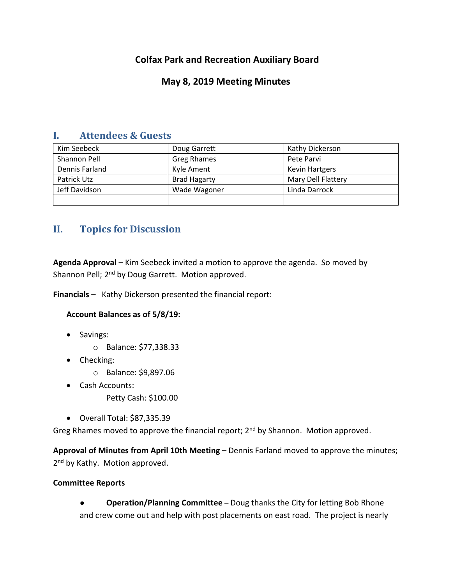# **Colfax Park and Recreation Auxiliary Board**

## **May 8, 2019 Meeting Minutes**

## **I. Attendees & Guests**

| Kim Seebeck    | Doug Garrett        | Kathy Dickerson           |
|----------------|---------------------|---------------------------|
| Shannon Pell   | <b>Greg Rhames</b>  | Pete Parvi                |
| Dennis Farland | Kyle Ament          | <b>Kevin Hartgers</b>     |
| Patrick Utz    | <b>Brad Hagarty</b> | <b>Mary Dell Flattery</b> |
| Jeff Davidson  | Wade Wagoner        | Linda Darrock             |
|                |                     |                           |

# **II. Topics for Discussion**

**Agenda Approval –** Kim Seebeck invited a motion to approve the agenda. So moved by Shannon Pell; 2<sup>nd</sup> by Doug Garrett. Motion approved.

**Financials –** Kathy Dickerson presented the financial report:

## **Account Balances as of 5/8/19:**

- Savings:
	- o Balance: \$77,338.33
- Checking:
	- o Balance: \$9,897.06
- Cash Accounts:
	- Petty Cash: \$100.00
- Overall Total: \$87,335.39

Greg Rhames moved to approve the financial report; 2<sup>nd</sup> by Shannon. Motion approved.

**Approval of Minutes from April 10th Meeting –** Dennis Farland moved to approve the minutes; 2<sup>nd</sup> by Kathy. Motion approved.

### **Committee Reports**

● **Operation/Planning Committee –** Doug thanks the City for letting Bob Rhone and crew come out and help with post placements on east road. The project is nearly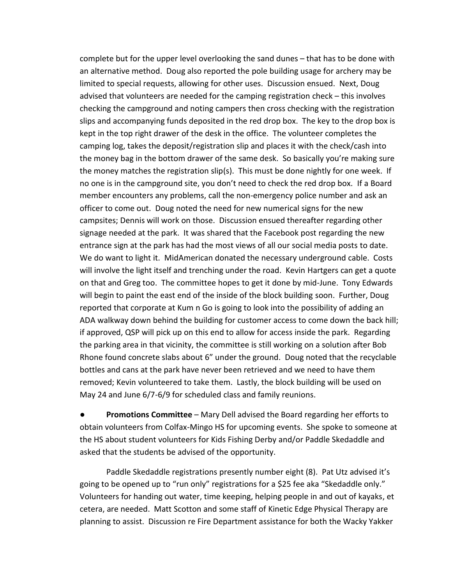complete but for the upper level overlooking the sand dunes – that has to be done with an alternative method. Doug also reported the pole building usage for archery may be limited to special requests, allowing for other uses. Discussion ensued. Next, Doug advised that volunteers are needed for the camping registration check – this involves checking the campground and noting campers then cross checking with the registration slips and accompanying funds deposited in the red drop box. The key to the drop box is kept in the top right drawer of the desk in the office. The volunteer completes the camping log, takes the deposit/registration slip and places it with the check/cash into the money bag in the bottom drawer of the same desk. So basically you're making sure the money matches the registration slip(s). This must be done nightly for one week. If no one is in the campground site, you don't need to check the red drop box. If a Board member encounters any problems, call the non-emergency police number and ask an officer to come out. Doug noted the need for new numerical signs for the new campsites; Dennis will work on those. Discussion ensued thereafter regarding other signage needed at the park. It was shared that the Facebook post regarding the new entrance sign at the park has had the most views of all our social media posts to date. We do want to light it. MidAmerican donated the necessary underground cable. Costs will involve the light itself and trenching under the road. Kevin Hartgers can get a quote on that and Greg too. The committee hopes to get it done by mid-June. Tony Edwards will begin to paint the east end of the inside of the block building soon. Further, Doug reported that corporate at Kum n Go is going to look into the possibility of adding an ADA walkway down behind the building for customer access to come down the back hill; if approved, QSP will pick up on this end to allow for access inside the park. Regarding the parking area in that vicinity, the committee is still working on a solution after Bob Rhone found concrete slabs about 6" under the ground. Doug noted that the recyclable bottles and cans at the park have never been retrieved and we need to have them removed; Kevin volunteered to take them. Lastly, the block building will be used on May 24 and June 6/7-6/9 for scheduled class and family reunions.

● **Promotions Committee** – Mary Dell advised the Board regarding her efforts to obtain volunteers from Colfax-Mingo HS for upcoming events. She spoke to someone at the HS about student volunteers for Kids Fishing Derby and/or Paddle Skedaddle and asked that the students be advised of the opportunity.

Paddle Skedaddle registrations presently number eight (8). Pat Utz advised it's going to be opened up to "run only" registrations for a \$25 fee aka "Skedaddle only." Volunteers for handing out water, time keeping, helping people in and out of kayaks, et cetera, are needed. Matt Scotton and some staff of Kinetic Edge Physical Therapy are planning to assist. Discussion re Fire Department assistance for both the Wacky Yakker